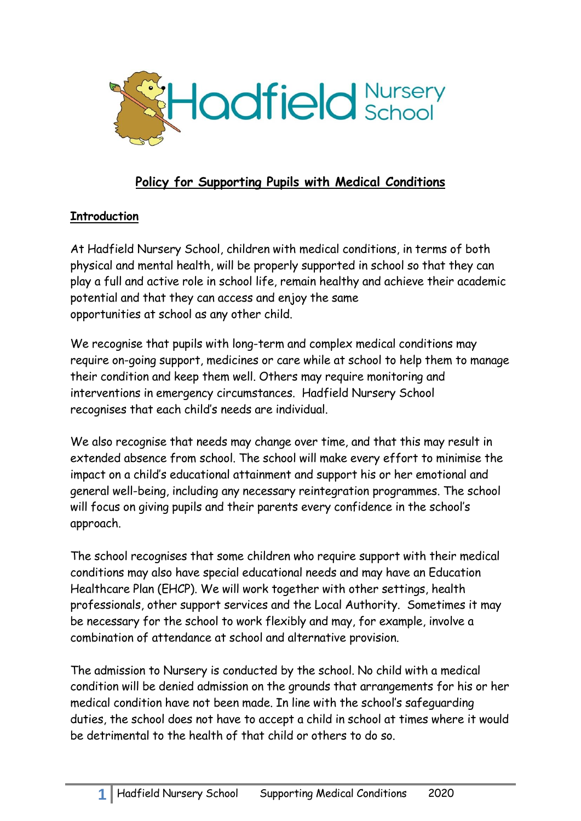

# **Policy for Supporting Pupils with Medical Conditions**

#### **Introduction**

At Hadfield Nursery School, children with medical conditions, in terms of both physical and mental health, will be properly supported in school so that they can play a full and active role in school life, remain healthy and achieve their academic potential and that they can access and enjoy the same opportunities at school as any other child.

We recognise that pupils with long-term and complex medical conditions may require on-going support, medicines or care while at school to help them to manage their condition and keep them well. Others may require monitoring and interventions in emergency circumstances. Hadfield Nursery School recognises that each child's needs are individual.

We also recognise that needs may change over time, and that this may result in extended absence from school. The school will make every effort to minimise the impact on a child's educational attainment and support his or her emotional and general well-being, including any necessary reintegration programmes. The school will focus on giving pupils and their parents every confidence in the school's approach.

The school recognises that some children who require support with their medical conditions may also have special educational needs and may have an Education Healthcare Plan (EHCP). We will work together with other settings, health professionals, other support services and the Local Authority. Sometimes it may be necessary for the school to work flexibly and may, for example, involve a combination of attendance at school and alternative provision.

The admission to Nursery is conducted by the school. No child with a medical condition will be denied admission on the grounds that arrangements for his or her medical condition have not been made. In line with the school's safeguarding duties, the school does not have to accept a child in school at times where it would be detrimental to the health of that child or others to do so.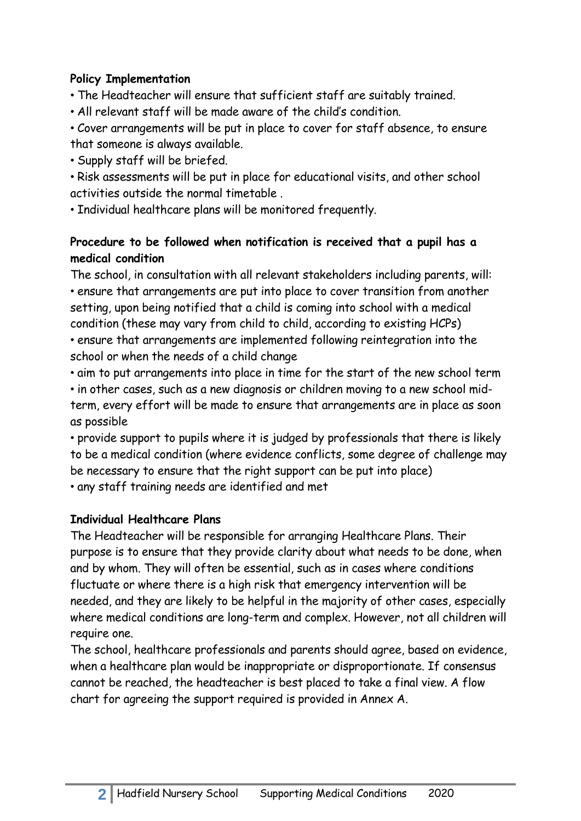#### **Policy Implementation**

• The Headteacher will ensure that sufficient staff are suitably trained.

• All relevant staff will be made aware of the child's condition.

• Cover arrangements will be put in place to cover for staff absence, to ensure that someone is always available.

• Supply staff will be briefed.

• Risk assessments will be put in place for educational visits, and other school activities outside the normal timetable .

• Individual healthcare plans will be monitored frequently.

## **Procedure to be followed when notification is received that a pupil has a medical condition**

The school, in consultation with all relevant stakeholders including parents, will: • ensure that arrangements are put into place to cover transition from another setting, upon being notified that a child is coming into school with a medical condition (these may vary from child to child, according to existing HCPs) • ensure that arrangements are implemented following reintegration into the school or when the needs of a child change

• aim to put arrangements into place in time for the start of the new school term • in other cases, such as a new diagnosis or children moving to a new school midterm, every effort will be made to ensure that arrangements are in place as soon as possible

• provide support to pupils where it is judged by professionals that there is likely to be a medical condition (where evidence conflicts, some degree of challenge may be necessary to ensure that the right support can be put into place) • any staff training needs are identified and met

## **Individual Healthcare Plans**

The Headteacher will be responsible for arranging Healthcare Plans. Their purpose is to ensure that they provide clarity about what needs to be done, when and by whom. They will often be essential, such as in cases where conditions fluctuate or where there is a high risk that emergency intervention will be needed, and they are likely to be helpful in the majority of other cases, especially where medical conditions are long-term and complex. However, not all children will require one.

The school, healthcare professionals and parents should agree, based on evidence, when a healthcare plan would be inappropriate or disproportionate. If consensus cannot be reached, the headteacher is best placed to take a final view. A flow chart for agreeing the support required is provided in Annex A.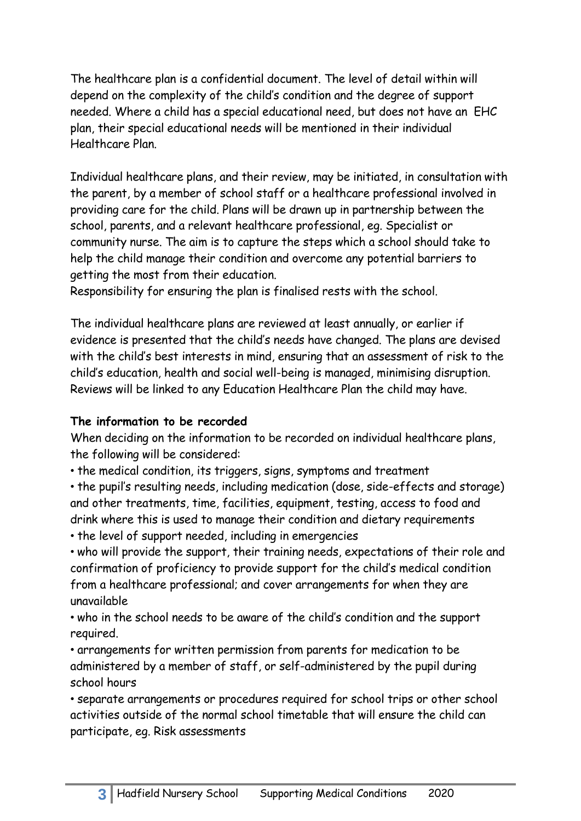The healthcare plan is a confidential document. The level of detail within will depend on the complexity of the child's condition and the degree of support needed. Where a child has a special educational need, but does not have an EHC plan, their special educational needs will be mentioned in their individual Healthcare Plan.

Individual healthcare plans, and their review, may be initiated, in consultation with the parent, by a member of school staff or a healthcare professional involved in providing care for the child. Plans will be drawn up in partnership between the school, parents, and a relevant healthcare professional, eg. Specialist or community nurse. The aim is to capture the steps which a school should take to help the child manage their condition and overcome any potential barriers to getting the most from their education.

Responsibility for ensuring the plan is finalised rests with the school.

The individual healthcare plans are reviewed at least annually, or earlier if evidence is presented that the child's needs have changed. The plans are devised with the child's best interests in mind, ensuring that an assessment of risk to the child's education, health and social well-being is managed, minimising disruption. Reviews will be linked to any Education Healthcare Plan the child may have.

#### **The information to be recorded**

When deciding on the information to be recorded on individual healthcare plans, the following will be considered:

• the medical condition, its triggers, signs, symptoms and treatment

• the pupil's resulting needs, including medication (dose, side-effects and storage) and other treatments, time, facilities, equipment, testing, access to food and drink where this is used to manage their condition and dietary requirements • the level of support needed, including in emergencies

• who will provide the support, their training needs, expectations of their role and confirmation of proficiency to provide support for the child's medical condition from a healthcare professional; and cover arrangements for when they are unavailable

• who in the school needs to be aware of the child's condition and the support required.

• arrangements for written permission from parents for medication to be administered by a member of staff, or self-administered by the pupil during school hours

• separate arrangements or procedures required for school trips or other school activities outside of the normal school timetable that will ensure the child can participate, eg. Risk assessments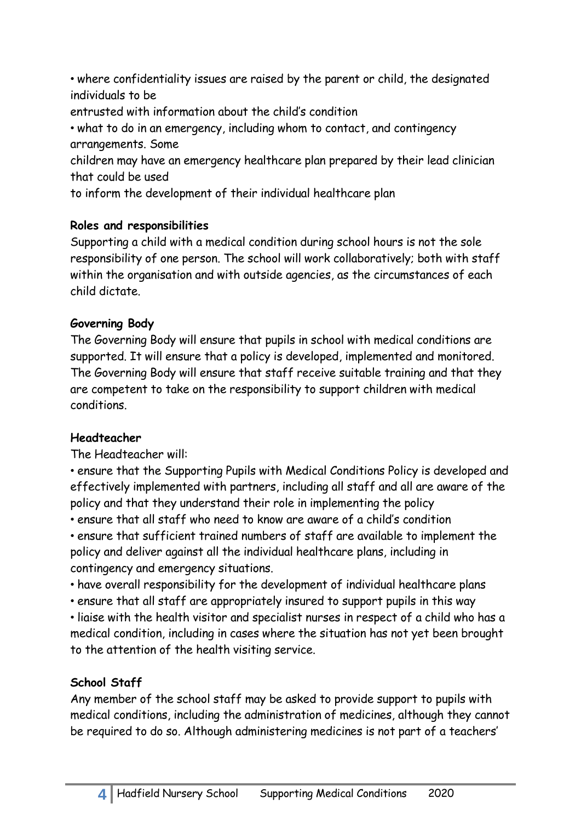• where confidentiality issues are raised by the parent or child, the designated individuals to be entrusted with information about the child's condition

• what to do in an emergency, including whom to contact, and contingency arrangements. Some

children may have an emergency healthcare plan prepared by their lead clinician that could be used

to inform the development of their individual healthcare plan

## **Roles and responsibilities**

Supporting a child with a medical condition during school hours is not the sole responsibility of one person. The school will work collaboratively; both with staff within the organisation and with outside agencies, as the circumstances of each child dictate.

# **Governing Body**

The Governing Body will ensure that pupils in school with medical conditions are supported. It will ensure that a policy is developed, implemented and monitored. The Governing Body will ensure that staff receive suitable training and that they are competent to take on the responsibility to support children with medical conditions.

# **Headteacher**

The Headteacher will:

• ensure that the Supporting Pupils with Medical Conditions Policy is developed and effectively implemented with partners, including all staff and all are aware of the policy and that they understand their role in implementing the policy

• ensure that all staff who need to know are aware of a child's condition

• ensure that sufficient trained numbers of staff are available to implement the policy and deliver against all the individual healthcare plans, including in contingency and emergency situations.

• have overall responsibility for the development of individual healthcare plans

• ensure that all staff are appropriately insured to support pupils in this way

• liaise with the health visitor and specialist nurses in respect of a child who has a medical condition, including in cases where the situation has not yet been brought to the attention of the health visiting service.

# **School Staff**

Any member of the school staff may be asked to provide support to pupils with medical conditions, including the administration of medicines, although they cannot be required to do so. Although administering medicines is not part of a teachers'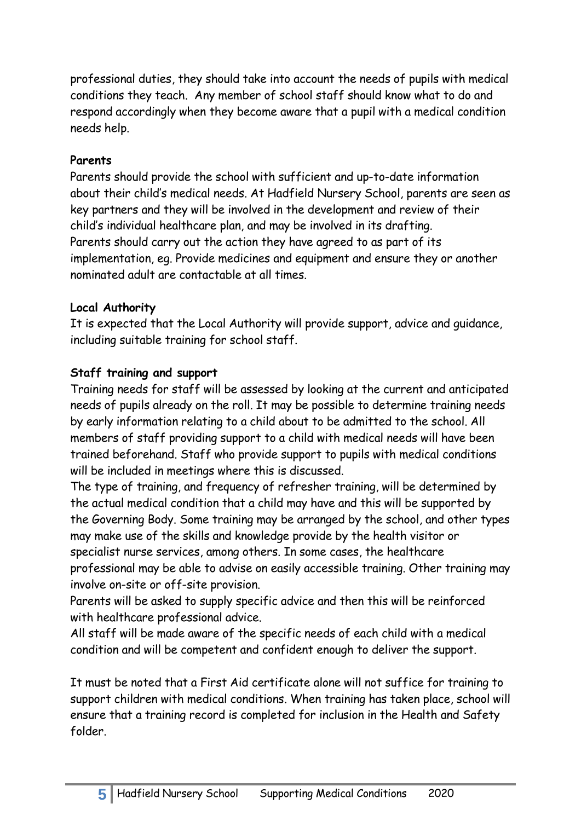professional duties, they should take into account the needs of pupils with medical conditions they teach. Any member of school staff should know what to do and respond accordingly when they become aware that a pupil with a medical condition needs help.

#### **Parents**

Parents should provide the school with sufficient and up-to-date information about their child's medical needs. At Hadfield Nursery School, parents are seen as key partners and they will be involved in the development and review of their child's individual healthcare plan, and may be involved in its drafting. Parents should carry out the action they have agreed to as part of its implementation, eg. Provide medicines and equipment and ensure they or another nominated adult are contactable at all times.

#### **Local Authority**

It is expected that the Local Authority will provide support, advice and guidance, including suitable training for school staff.

#### **Staff training and support**

Training needs for staff will be assessed by looking at the current and anticipated needs of pupils already on the roll. It may be possible to determine training needs by early information relating to a child about to be admitted to the school. All members of staff providing support to a child with medical needs will have been trained beforehand. Staff who provide support to pupils with medical conditions will be included in meetings where this is discussed.

The type of training, and frequency of refresher training, will be determined by the actual medical condition that a child may have and this will be supported by the Governing Body. Some training may be arranged by the school, and other types may make use of the skills and knowledge provide by the health visitor or specialist nurse services, among others. In some cases, the healthcare professional may be able to advise on easily accessible training. Other training may involve on-site or off-site provision.

Parents will be asked to supply specific advice and then this will be reinforced with healthcare professional advice.

All staff will be made aware of the specific needs of each child with a medical condition and will be competent and confident enough to deliver the support.

It must be noted that a First Aid certificate alone will not suffice for training to support children with medical conditions. When training has taken place, school will ensure that a training record is completed for inclusion in the Health and Safety folder.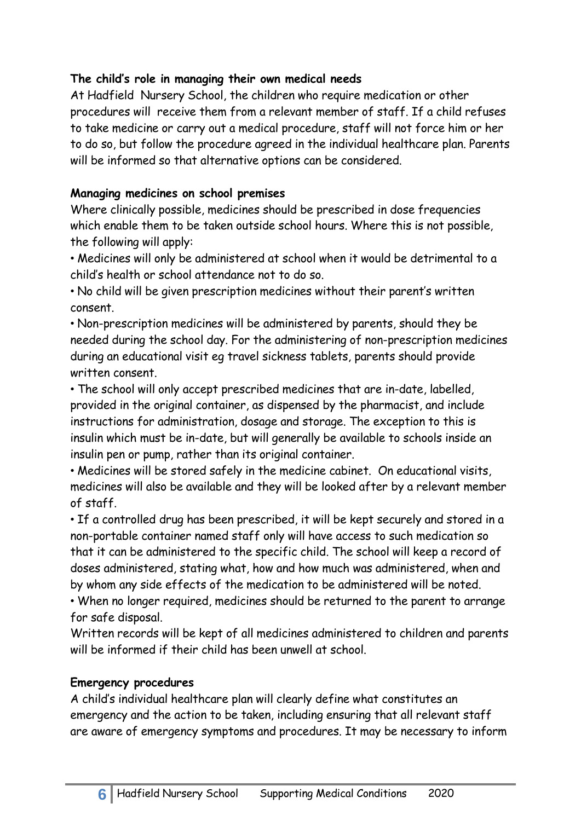#### **The child's role in managing their own medical needs**

At Hadfield Nursery School, the children who require medication or other procedures will receive them from a relevant member of staff. If a child refuses to take medicine or carry out a medical procedure, staff will not force him or her to do so, but follow the procedure agreed in the individual healthcare plan. Parents will be informed so that alternative options can be considered.

#### **Managing medicines on school premises**

Where clinically possible, medicines should be prescribed in dose frequencies which enable them to be taken outside school hours. Where this is not possible, the following will apply:

• Medicines will only be administered at school when it would be detrimental to a child's health or school attendance not to do so.

• No child will be given prescription medicines without their parent's written consent.

• Non-prescription medicines will be administered by parents, should they be needed during the school day. For the administering of non-prescription medicines during an educational visit eg travel sickness tablets, parents should provide written consent.

• The school will only accept prescribed medicines that are in-date, labelled, provided in the original container, as dispensed by the pharmacist, and include instructions for administration, dosage and storage. The exception to this is insulin which must be in-date, but will generally be available to schools inside an insulin pen or pump, rather than its original container.

• Medicines will be stored safely in the medicine cabinet. On educational visits, medicines will also be available and they will be looked after by a relevant member of staff.

• If a controlled drug has been prescribed, it will be kept securely and stored in a non-portable container named staff only will have access to such medication so that it can be administered to the specific child. The school will keep a record of doses administered, stating what, how and how much was administered, when and by whom any side effects of the medication to be administered will be noted.

• When no longer required, medicines should be returned to the parent to arrange for safe disposal.

Written records will be kept of all medicines administered to children and parents will be informed if their child has been unwell at school.

## **Emergency procedures**

A child's individual healthcare plan will clearly define what constitutes an emergency and the action to be taken, including ensuring that all relevant staff are aware of emergency symptoms and procedures. It may be necessary to inform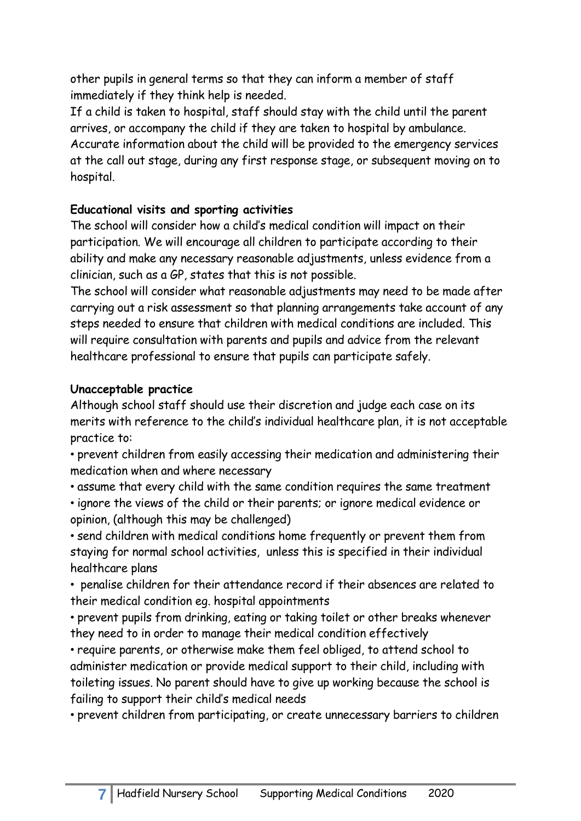other pupils in general terms so that they can inform a member of staff immediately if they think help is needed.

If a child is taken to hospital, staff should stay with the child until the parent arrives, or accompany the child if they are taken to hospital by ambulance. Accurate information about the child will be provided to the emergency services at the call out stage, during any first response stage, or subsequent moving on to hospital.

## **Educational visits and sporting activities**

The school will consider how a child's medical condition will impact on their participation. We will encourage all children to participate according to their ability and make any necessary reasonable adjustments, unless evidence from a clinician, such as a GP, states that this is not possible.

The school will consider what reasonable adjustments may need to be made after carrying out a risk assessment so that planning arrangements take account of any steps needed to ensure that children with medical conditions are included. This will require consultation with parents and pupils and advice from the relevant healthcare professional to ensure that pupils can participate safely.

## **Unacceptable practice**

Although school staff should use their discretion and judge each case on its merits with reference to the child's individual healthcare plan, it is not acceptable practice to:

• prevent children from easily accessing their medication and administering their medication when and where necessary

• assume that every child with the same condition requires the same treatment

• ignore the views of the child or their parents; or ignore medical evidence or opinion, (although this may be challenged)

• send children with medical conditions home frequently or prevent them from staying for normal school activities, unless this is specified in their individual healthcare plans

• penalise children for their attendance record if their absences are related to their medical condition eg. hospital appointments

• prevent pupils from drinking, eating or taking toilet or other breaks whenever they need to in order to manage their medical condition effectively

• require parents, or otherwise make them feel obliged, to attend school to administer medication or provide medical support to their child, including with toileting issues. No parent should have to give up working because the school is failing to support their child's medical needs

• prevent children from participating, or create unnecessary barriers to children